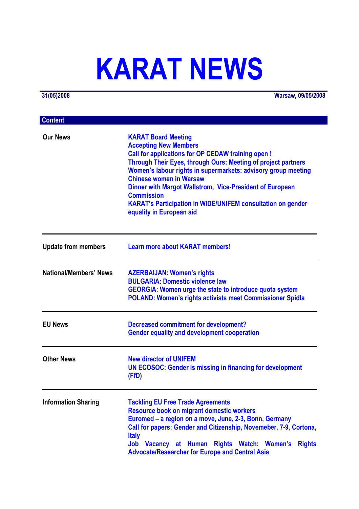# **KARAT NEWS**

**31(05)2008 Warsaw, 09/05/2008**

| <b>Content</b>             |                                                                                                                                                                                                                                                                                                                                                                                                                                                                                      |
|----------------------------|--------------------------------------------------------------------------------------------------------------------------------------------------------------------------------------------------------------------------------------------------------------------------------------------------------------------------------------------------------------------------------------------------------------------------------------------------------------------------------------|
| <b>Our News</b>            | <b>KARAT Board Meeting</b><br><b>Accepting New Members</b><br><b>Call for applications for OP CEDAW training open!</b><br><b>Through Their Eyes, through Ours: Meeting of project partners</b><br>Women's labour rights in supermarkets: advisory group meeting<br><b>Chinese women in Warsaw</b><br>Dinner with Margot Wallstrom, Vice-President of European<br><b>Commission</b><br><b>KARAT's Participation in WIDE/UNIFEM consultation on gender</b><br>equality in European aid |
| <b>Update from members</b> | <b>Learn more about KARAT members!</b>                                                                                                                                                                                                                                                                                                                                                                                                                                               |
| National/Members' News     | <b>AZERBAIJAN: Women's rights</b><br><b>BULGARIA: Domestic violence law</b><br><b>GEORGIA: Women urge the state to introduce quota system</b><br><b>POLAND: Women's rights activists meet Commissioner Spidla</b>                                                                                                                                                                                                                                                                    |
| <b>EU News</b>             | <b>Decreased commitment for development?</b><br><b>Gender equality and development cooperation</b>                                                                                                                                                                                                                                                                                                                                                                                   |
| <b>Other News</b>          | <b>New director of UNIFEM</b><br><b>UN ECOSOC: Gender is missing in financing for development</b><br>(FfD)                                                                                                                                                                                                                                                                                                                                                                           |
| <b>Information Sharing</b> | <b>Tackling EU Free Trade Agreements</b><br><b>Resource book on migrant domestic workers</b><br>Euromed – a region on a move, June, 2-3, Bonn, Germany<br>Call for papers: Gender and Citizenship, Novemeber, 7-9, Cortona,<br><b>Italy</b><br>Job Vacancy at Human Rights Watch: Women's Rights<br><b>Advocate/Researcher for Europe and Central Asia</b>                                                                                                                           |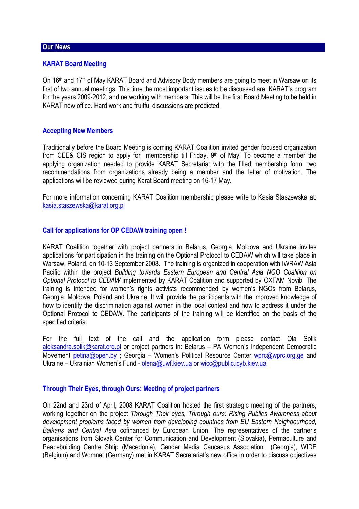## **Our News**

## **KARAT Board Meeting**

On 16th and 17th of May KARAT Board and Advisory Body members are going to meet in Warsaw on its first of two annual meetings. This time the most important issues to be discussed are: KARAT's program for the years 2009-2012, and networking with members. This will be the first Board Meeting to be held in KARAT new office. Hard work and fruitful discussions are predicted.

#### **Accepting New Members**

Traditionally before the Board Meeting is coming KARAT Coalition invited gender focused organization from CEE& CIS region to apply for membership till Friday,  $9<sup>th</sup>$  of May. To become a member the applying organization needed to provide KARAT Secretariat with the filled membership form, two recommendations from organizations already being a member and the letter of motivation. The applications will be reviewed during Karat Board meeting on 16-17 May.

For more information concerning KARAT Coalition membership please write to Kasia Staszewska at: kasia.staszewska@karat.org.pl

### **Call for applications for OP CEDAW training open !**

KARAT Coalition together with project partners in Belarus, Georgia, Moldova and Ukraine invites applications for participation in the training on the Optional Protocol to CEDAW which will take place in Warsaw, Poland, on 10-13 September 2008. The training is organized in cooperation with IWRAW Asia Pacific within the project *Building towards Eastern European and Central Asia NGO Coalition on Optional Protocol to CEDAW* implemented by KARAT Coalition and supported by OXFAM Novib. The training is intended for women's rights activists recommended by women's NGOs from Belarus, Georgia, Moldova, Poland and Ukraine. It will provide the participants with the improved knowledge of how to identify the discrimination against women in the local context and how to address it under the Optional Protocol to CEDAW. The participants of the training will be identified on the basis of the specified criteria.

For the full text of the call and the application form please contact Ola Solik aleksandra.solik@karat.org.pl or project partners in: Belarus – PA Women's Independent Democratic Movement petina@open.by: Georgia – Women's Political Resource Center wprc@wprc.org.ge and Ukraine – Ukrainian Women's Fund - olena@uwf.kiev.ua or wicc@public.icyb.kiev.ua

# **Through Their Eyes, through Ours: Meeting of project partners**

On 22nd and 23rd of April, 2008 KARAT Coalition hosted the first strategic meeting of the partners, working together on the project *Through Their eyes, Through ours: Rising Publics Awareness about development problems faced by women from developing countries from EU Eastern Neighbourhood, Balkans and Central Asia* cofinanced by European Union. The representatives of the partner's organisations from Slovak Center for Communication and Development (Slovakia), Permaculture and Peacebuilding Centre Shtip (Macedonia), Gender Media Caucasus Association (Georgia), WIDE (Belgium) and Womnet (Germany) met in KARAT Secretariat's new office in order to discuss objectives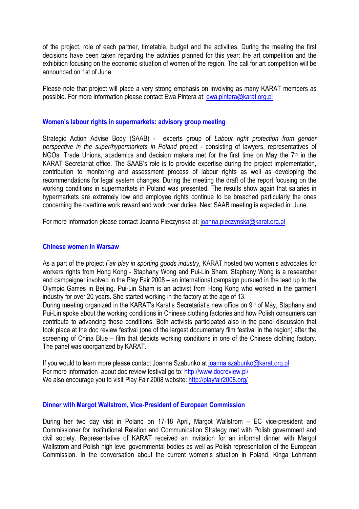of the project, role of each partner, timetable, budget and the activities. During the meeting the first decisions have been taken regarding the activities planned for this year: the art competition and the exhibition focusing on the economic situation of women of the region. The call for art competition will be announced on 1st of June.

Please note that project will place a very strong emphasis on involving as many KARAT members as possible. For more information please contact Ewa Pintera at: ewa.pintera@karat.org.pl

# **Women's labour rights in supermarkets: advisory group meeting**

Strategic Action Advise Body (SAAB) - experts group of *Labour right protection from gender perspective in the super/hypermarkets in Poland* project - consisting of lawyers, representatives of NGOs, Trade Unions, academics and decision makers met for the first time on May the  $7<sup>th</sup>$  in the KARAT Secretariat office. The SAAB's role is to provide expertise during the project implementation, contribution to monitoring and assessment process of labour rights as well as developing the recommendations for legal system changes. During the meeting the draft of the report focusing on the working conditions in supermarkets in Poland was presented. The results show again that salaries in hypermarkets are extremely low and employee rights continue to be breached particularly the ones concerning the overtime work reward and work over duties. Next SAAB meeting is expected in June.

For more information please contact Joanna Pieczynska at: joanna.pieczynska@karat.org.pl

## **Chinese women in Warsaw**

As a part of the project *Fair play in sporting goods industry*, KARAT hosted two women's advocates for workers rights from Hong Kong - Staphany Wong and Pui-Lin Sham. Staphany Wong is a researcher and campaigner involved in the Play Fair 2008 – an international campaign pursued in the lead up to the Olympic Games in Beijing. Pui-Lin Sham is an activist from Hong Kong who worked in the garment industry for over 20 years. She started working in the factory at the age of 13.

During meeting organized in the KARAT's Karat's Secretariat's new office on 9<sup>th</sup> of May, Staphany and Pui-Lin spoke about the working conditions in Chinese clothing factories and how Polish consumers can contribute to advancing these conditions. Both activists participated also in the panel discussion that took place at the doc review festival (one of the largest documentary film festival in the region) after the screening of China Blue – film that depicts working conditions in one of the Chinese clothing factory. The panel was coorganized by KARAT.

If you would to learn more please contact Joanna Szabunko at joanna szabunko@karat.org.pl For more information about doc review festival go to: http://www.docreview.pl/ We also encourage you to visit Play Fair 2008 website: http://playfair2008.org/

## **Dinner with Margot Wallstrom, Vice-President of European Commission**

During her two day visit in Poland on 17-18 April, Margot Wallstrom – EC vice-president and Commissioner for Institutional Relation and Communication Strategy met with Polish government and civil society. Representative of KARAT received an invitation for an informal dinner with Margot Wallstrom and Polish high level governmental bodies as well as Polish representation of the European Commission. In the conversation about the current women's situation in Poland, Kinga Lohmann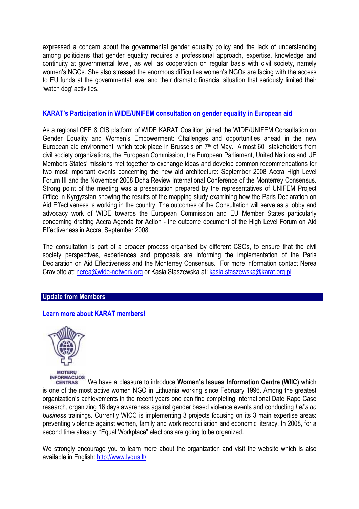expressed a concern about the governmental gender equality policy and the lack of understanding among politicians that gender equality requires a professional approach, expertise, knowledge and continuity at governmental level, as well as cooperation on regular basis with civil society, namely women's NGOs. She also stressed the enormous difficulties women's NGOs are facing with the access to EU funds at the governmental level and their dramatic financial situation that seriously limited their 'watch dog' activities.

# **KARAT's Participation in WIDE/UNIFEM consultation on gender equality in European aid**

As a regional CEE & CIS platform of WIDE KARAT Coalition joined the WIDE/UNIFEM Consultation on Gender Equality and Women's Empowerment: Challenges and opportunities ahead in the new European aid environment, which took place in Brussels on 7<sup>th</sup> of May. Almost 60 stakeholders from civil society organizations, the European Commission, the European Parliament, United Nations and UE Members States' missions met together to exchange ideas and develop common recommendations for two most important events concerning the new aid architecture: September 2008 Accra High Level Forum III and the November 2008 Doha Review International Conference of the Monterrey Consensus. Strong point of the meeting was a presentation prepared by the representatives of UNIFEM Project Office in Kyrgyzstan showing the results of the mapping study examining how the Paris Declaration on Aid Effectiveness is working in the country. The outcomes of the Consultation will serve as a lobby and advocacy work of WIDE towards the European Commission and EU Member States particularly concerning drafting Accra Agenda for Action - the outcome document of the High Level Forum on Aid Effectiveness in Accra, September 2008.

The consultation is part of a broader process organised by different CSOs, to ensure that the civil society perspectives, experiences and proposals are informing the implementation of the Paris Declaration on Aid Effectiveness and the Monterrey Consensus. For more information contact Nerea Craviotto at: nerea@wide-network.org or Kasia Staszewska at: kasia.staszewska@karat.org.pl

## **Update from Members**

## **Learn more about KARAT members!**



INFORMACIJOS We have a pleasure to introduce **Women's Issues Information Centre (WIIC)** which **CENTRAS** is one of the most active women NGO in Lithuania working since February 1996. Among the greatest organization's achievements in the recent years one can find completing International Date Rape Case research, organizing 16 days awareness against gender based violence events and conducting *Let's do business* trainings. Currently WICC is implementing 3 projects focusing on its 3 main expertise areas: preventing violence against women, family and work reconciliation and economic literacy. In 2008, for a second time already, "Equal Workplace" elections are going to be organized.

We strongly encourage you to learn more about the organization and visit the website which is also available in English: http://www.lygus.lt/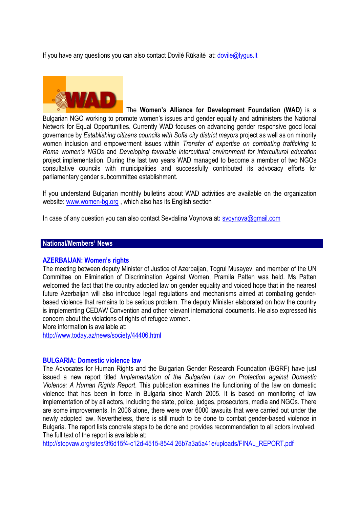If you have any questions you can also contact Dovile Rūkaitė at: dovile@lygus.lt



The **Women's Alliance for Development Foundation (WAD)** is a Bulgarian NGO working to promote women's issues and gender equality and administers the National Network for Equal Opportunities. Currently WAD focuses on advancing gender responsive good local governance by *Establishing citizens councils with Sofia city district mayors* project as well as on minority women inclusion and empowerment issues within *Transfer of expertise on combating trafficking to Roma women's NGOs* and *Developing favorable intercultural environment for intercultural education*  project implementation. During the last two years WAD managed to become a member of two NGOs consultative councils with municipalities and successfully contributed its advocacy efforts for parliamentary gender subcommittee establishment.

If you understand Bulgarian monthly bulletins about WAD activities are available on the organization website: www.women-bg.org , which also has its English section

In case of any question you can also contact Sevdalina Voynova at**:** svoynova@gmail.com

# **National/Members' News**

#### **AZERBAIJAN: Women's rights**

The meeting between deputy Minister of Justice of Azerbaijan, Togrul Musayev, and member of the UN Committee on Elimination of Discrimination Against Women, Pramila Patten was held. Ms Patten welcomed the fact that the country adopted law on gender equality and voiced hope that in the nearest future Azerbaijan will also introduce legal regulations and mechanisms aimed at combating genderbased violence that remains to be serious problem. The deputy Minister elaborated on how the country is implementing CEDAW Convention and other relevant international documents. He also expressed his concern about the violations of rights of refugee women.

More information is available at:

http://www.today.az/news/society/44406.html

#### **BULGARIA: Domestic violence law**

The Advocates for Human Rights and the Bulgarian Gender Research Foundation (BGRF) have just issued a new report titled *Implementation of the Bulgarian Law on Protection against Domestic Violence: A Human Rights Report*. This publication examines the functioning of the law on domestic violence that has been in force in Bulgaria since March 2005. It is based on monitoring of law implementation of by all actors, including the state, police, judges, prosecutors, media and NGOs. There are some improvements. In 2006 alone, there were over 6000 lawsuits that were carried out under the newly adopted law. Nevertheless, there is still much to be done to combat gender-based violence in Bulgaria. The report lists concrete steps to be done and provides recommendation to all actors involved. The full text of the report is available at:

http://stopvaw.org/sites/3f6d15f4-c12d-4515-8544 26b7a3a5a41e/uploads/FINAL\_REPORT.pdf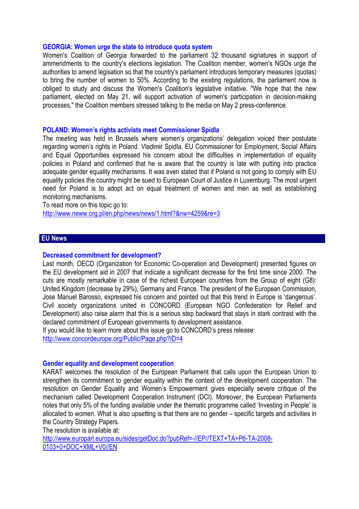#### **GEORGIA: Women urge the state to introduce quota system**

Women's Coalition of Georgia forwarded to the parliament 32 thousand signatures in support of ammendments to the country's elections legislation. The Coalition member, women's NGOs urge the authorities to amend legisation so that the country's parliament introduces temporary measures (quotas) to bring the number of women to 50%. According to the existing regulations, the parliament now is obliged to study and discuss the Women's Coalition's legislative initiative. "We hope that the new parliament, elected on May 21, will support activation of women's participation in decision-making processes," the Coalition members stressed talking to the media on May 2 press-conference.

#### **POLAND: Women's rights activists meet Commissioner Spidla**

The meeting was held in Brussels where women's organizations' delegation voiced their postulate regarding women's rights in Poland. Vladimir Spidla, EU Commissioner for Employment, Social Affairs and Equal Opportunities expressed his concern about the difficulties in implementation of equality policies in Poland and confirmed that he is aware that the country is late with putting into practice adequate gender equality mechanisms. It was even stated that if Poland is not going to comply with EU equality policies the country might be sued to European Court of Justice in Luxemburg. The most urgent need for Poland is to adopt act on equal treatment of women and men as well as establishing monitoring mechanisms.

To read more on this topic go to: http://www.neww.org.pl/en.php/news/news/1.html?&nw=4259&re=3

### **EU News**

#### **Decreased commitment for development?**

Last month, OECD (Organization for Economic Co-operation and Development) presented figures on the EU development aid in 2007 that indicate a significant decrease for the first time since 2000. The cuts are mostly remarkable in case of the richest European countries from the Group of eight (G8): United Kingdom (decrease by 29%), Germany and France. The president of the European Commission, Jose Manuel Barosso, expressed his concern and pointed out that this trend in Europe is 'dangerous'. Civil society organizations united in CONCORD (European NGO Confederation for Relief and Development) also raise alarm that this is a serious step backward that stays in stark contrast with the declared commitment of European governments to development assistance.

If you would like to learn more about this issue go to CONCORD's press release:

http://www.concordeurope.org/Public/Page.php?ID=4

#### **Gender equality and development cooperation**

KARAT welcomes the resolution of the European Parliament that calls upon the European Union to strengthen its commitment to gender equality within the context of the development cooperation. The resolution on Gender Equality and Women's Empowerment gives especially severe critique of the mechanism called Development Cooperation Instrument (DCI). Moreover, the European Parliaments notes that only 5% of the funding available under the thematic programme called 'Investing in People' is allocated to women. What is also upsetting is that there are no gender – specific targets and activities in the Country Strategy Papers.

The resolution is available at:

http://www.europarl.europa.eu/sides/getDoc.do?pubRef=-//EP//TEXT+TA+P6-TA-2008- 0103+0+DOC+XML+V0//EN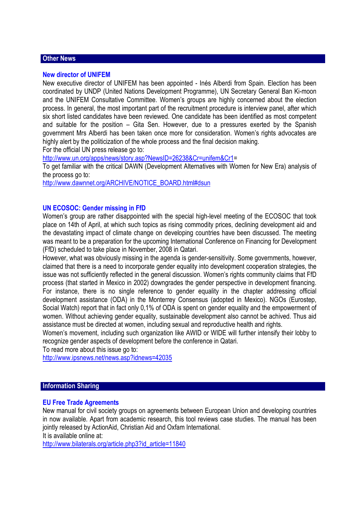# **Other News**

#### **New director of UNIFEM**

New executive director of UNIFEM has been appointed - Inés Alberdi from Spain. Election has been coordinated by UNDP (United Nations Development Programme), UN Secretary General Ban Ki-moon and the UNIFEM Consultative Committee. Women's groups are highly concerned about the election process. In general, the most important part of the recruitment procedure is interview panel, after which six short listed candidates have been reviewed. One candidate has been identified as most competent and suitable for the position – Gita Sen. However, due to a pressures exerted by the Spanish government Mrs Alberdi has been taken once more for consideration. Women's rights advocates are highly alert by the politicization of the whole process and the final decision making.

For the official UN press release go to:

http://www.un.org/apps/news/story.asp?NewsID=26238&Cr=unifem&Cr1=

To get familiar with the critical DAWN (Development Alternatives with Women for New Era) analysis of the process go to:

http://www.dawnnet.org/ARCHIVE/NOTICE\_BOARD.html#dsun

## **UN ECOSOC: Gender missing in FfD**

Women's group are rather disappointed with the special high-level meeting of the ECOSOC that took place on 14th of April, at which such topics as rising commodity prices, declining development aid and the devastating impact of climate change on developing countries have been discussed. The meeting was meant to be a preparation for the upcoming International Conference on Financing for Development (FfD) scheduled to take place in November, 2008 in Qatari.

However, what was obviously missing in the agenda is gender-sensitivity. Some governments, however, claimed that there is a need to incorporate gender equality into development cooperation strategies, the issue was not sufficiently reflected in the general discussion. Women's rights community claims that FfD process (that started in Mexico in 2002) downgrades the gender perspective in development financing. For instance, there is no single reference to gender equality in the chapter addressing official development assistance (ODA) in the Monterrey Consensus (adopted in Mexico). NGOs (Eurostep, Social Watch) report that in fact only 0,1% of ODA is spent on gender equality and the empowerment of women. Without achieving gender equality, sustainable development also cannot be achived. Thus aid assistance must be directed at women, including sexual and reproductive health and rights.

Women's movement, including such organization like AWID or WIDE will further intensify their lobby to recognize gender aspects of development before the conference in Qatari.

To read more about this issue go to:

http://www.ipsnews.net/news.asp?idnews=42035

## **Information Sharing**

## **EU Free Trade Agreements**

New manual for civil society groups on agreements between European Union and developing countries in now available. Apart from academic research, this tool reviews case studies. The manual has been jointly released by ActionAid, Christian Aid and Oxfam International.

It is available online at:

http://www.bilaterals.org/article.php3?id\_article=11840